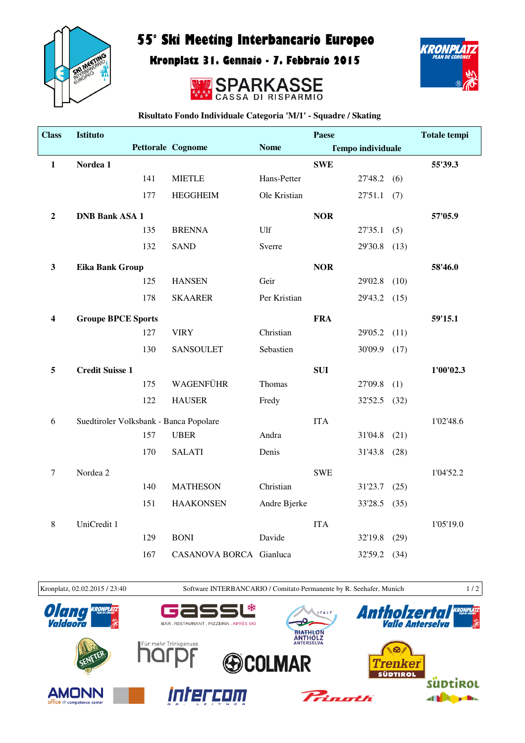

## 55° Ski Meeting Interbancario Europeo

Kronplatz 31. Gennaio - 7. Febbraio 2015





**Risultato Fondo Individuale Categoria 'M/1' - Squadre / Skating**

| <b>Class</b>            | <b>Istituto</b>                        |     |                          |              | Paese      |                          |      | <b>Totale tempi</b> |
|-------------------------|----------------------------------------|-----|--------------------------|--------------|------------|--------------------------|------|---------------------|
|                         |                                        |     | <b>Pettorale Cognome</b> | <b>Nome</b>  |            | <b>Tempo individuale</b> |      |                     |
| $\mathbf{1}$            | Nordea 1                               |     |                          |              | <b>SWE</b> |                          |      | 55'39.3             |
|                         |                                        | 141 | <b>MIETLE</b>            | Hans-Petter  |            | 27'48.2                  | (6)  |                     |
|                         |                                        | 177 | <b>HEGGHEIM</b>          | Ole Kristian |            | 27'51.1                  | (7)  |                     |
| $\boldsymbol{2}$        | <b>DNB Bank ASA 1</b>                  |     |                          |              | <b>NOR</b> |                          |      | 57'05.9             |
|                         |                                        | 135 | <b>BRENNA</b>            | Ulf          |            | 27'35.1                  | (5)  |                     |
|                         |                                        | 132 | <b>SAND</b>              | Sverre       |            | 29'30.8                  | (13) |                     |
| $\mathbf{3}$            | <b>Eika Bank Group</b>                 |     |                          |              | <b>NOR</b> |                          |      | 58'46.0             |
|                         |                                        | 125 | <b>HANSEN</b>            | Geir         |            | 29'02.8                  | (10) |                     |
|                         |                                        | 178 | <b>SKAARER</b>           | Per Kristian |            | 29'43.2                  | (15) |                     |
| $\overline{\mathbf{4}}$ | <b>Groupe BPCE Sports</b>              |     |                          |              | <b>FRA</b> |                          |      | 59'15.1             |
|                         |                                        | 127 | <b>VIRY</b>              | Christian    |            | 29'05.2                  | (11) |                     |
|                         |                                        | 130 | <b>SANSOULET</b>         | Sebastien    |            | 30'09.9                  | (17) |                     |
| 5                       | <b>Credit Suisse 1</b>                 |     |                          |              | <b>SUI</b> |                          |      | 1'00'02.3           |
|                         |                                        | 175 | WAGENFÜHR                | Thomas       |            | 27'09.8                  | (1)  |                     |
|                         |                                        | 122 | <b>HAUSER</b>            | Fredy        |            | 32'52.5                  | (32) |                     |
| 6                       | Suedtiroler Volksbank - Banca Popolare |     |                          |              | <b>ITA</b> |                          |      | 1'02'48.6           |
|                         |                                        | 157 | <b>UBER</b>              | Andra        |            | 31'04.8                  | (21) |                     |
|                         |                                        | 170 | <b>SALATI</b>            | Denis        |            | 31'43.8                  | (28) |                     |
| $\boldsymbol{7}$        | Nordea 2                               |     |                          |              | <b>SWE</b> |                          |      | 1'04'52.2           |
|                         |                                        | 140 | <b>MATHESON</b>          | Christian    |            | 31'23.7                  | (25) |                     |
|                         |                                        | 151 | <b>HAAKONSEN</b>         | Andre Bjerke |            | 33'28.5                  | (35) |                     |
| $\,8\,$                 | UniCredit 1                            |     |                          |              | <b>ITA</b> |                          |      | 1'05'19.0           |
|                         |                                        | 129 | <b>BONI</b>              | Davide       |            | 32'19.8                  | (29) |                     |
|                         |                                        | 167 | CASANOVA BORCA Gianluca  |              |            | 32'59.2 (34)             |      |                     |